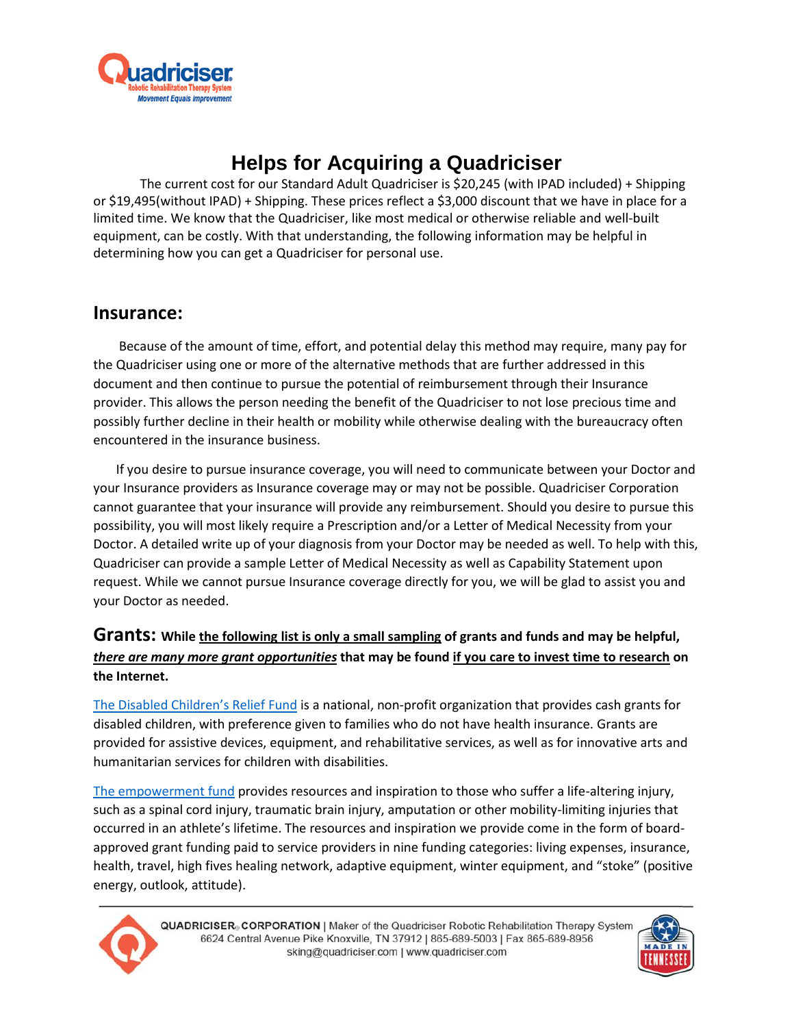

# **Helps for Acquiring a Quadriciser**

The current cost for our Standard Adult Quadriciser is \$20,245 (with IPAD included) + Shipping or \$19,495(without IPAD) + Shipping. These prices reflect a \$3,000 discount that we have in place for a limited time. We know that the Quadriciser, like most medical or otherwise reliable and well-built equipment, can be costly. With that understanding, the following information may be helpful in determining how you can get a Quadriciser for personal use.

# **Insurance:**

Because of the amount of time, effort, and potential delay this method may require, many pay for the Quadriciser using one or more of the alternative methods that are further addressed in this document and then continue to pursue the potential of reimbursement through their Insurance provider. This allows the person needing the benefit of the Quadriciser to not lose precious time and possibly further decline in their health or mobility while otherwise dealing with the bureaucracy often encountered in the insurance business.

 If you desire to pursue insurance coverage, you will need to communicate between your Doctor and your Insurance providers as Insurance coverage may or may not be possible. Quadriciser Corporation cannot guarantee that your insurance will provide any reimbursement. Should you desire to pursue this possibility, you will most likely require a Prescription and/or a Letter of Medical Necessity from your Doctor. A detailed write up of your diagnosis from your Doctor may be needed as well. To help with this, Quadriciser can provide a sample Letter of Medical Necessity as well as Capability Statement upon request. While we cannot pursue Insurance coverage directly for you, we will be glad to assist you and your Doctor as needed.

# **Grants: While the following list is only a small sampling of grants and funds and may be helpful,** *there are many more grant opportunities* **that may be found if you care to invest time to research on the Internet.**

[The Disabled Children's Relief Fund](https://rarediseases.org/organizations/disabled-childrens-relief-fund/) is a national, non-profit organization that provides cash grants for disabled children, with preference given to families who do not have health insurance. Grants are provided for assistive devices, equipment, and rehabilitative services, as well as for innovative arts and humanitarian services for children with disabilities.

[The empowerment fund](https://highfivesfoundation.org/empowerment-fund/) provides resources and inspiration to those who suffer a life-altering injury, such as a spinal cord injury, traumatic brain injury, amputation or other mobility-limiting injuries that occurred in an athlete's lifetime. The resources and inspiration we provide come in the form of boardapproved grant funding paid to service providers in nine funding categories: living expenses, insurance, health, travel, high fives healing network, adaptive equipment, winter equipment, and "stoke" (positive energy, outlook, attitude).



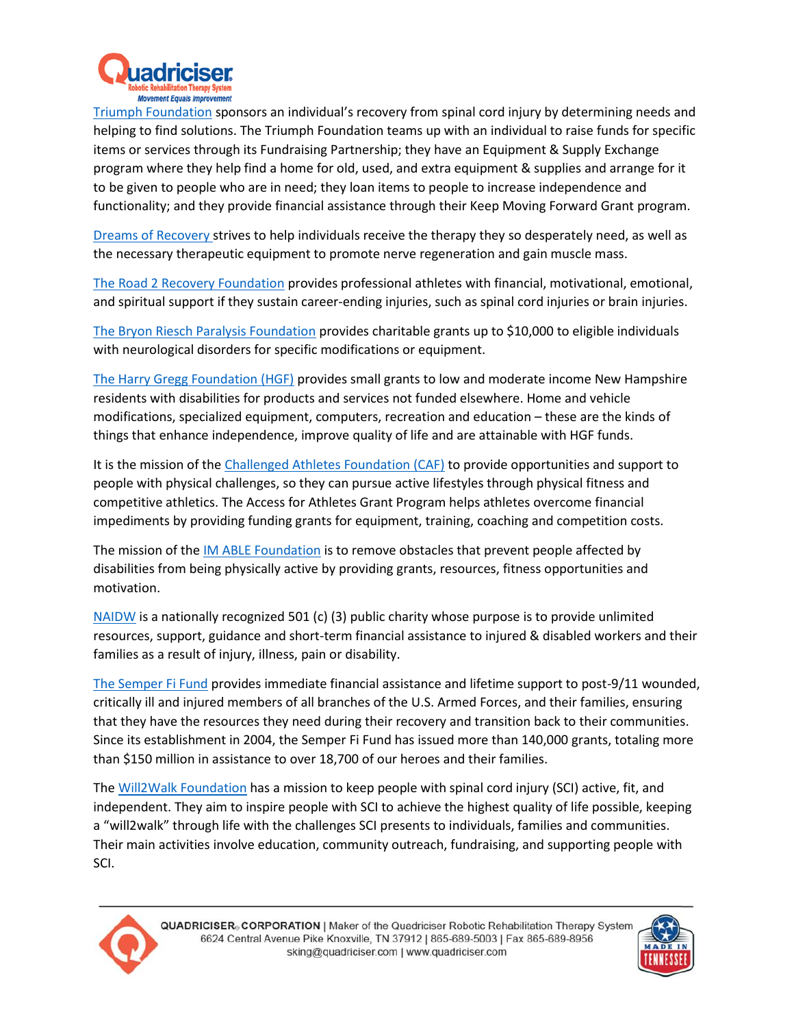

[Triumph Foundation](http://www.triumph-foundation.org/about-triumph/) sponsors an individual's recovery from spinal cord injury by determining needs and helping to find solutions. The Triumph Foundation teams up with an individual to raise funds for specific items or services through its Fundraising Partnership; they have an Equipment & Supply Exchange program where they help find a home for old, used, and extra equipment & supplies and arrange for it to be given to people who are in need; they loan items to people to increase independence and functionality; and they provide financial assistance through their Keep Moving Forward Grant program.

[Dreams of Recovery](http://www.dreamsofrecovery.org/) strives to help individuals receive the therapy they so desperately need, as well as the necessary therapeutic equipment to promote nerve regeneration and gain muscle mass.

[The Road 2 Recovery Foundation](https://road2recovery.com/about-us/) provides professional athletes with financial, motivational, emotional, and spiritual support if they sustain career-ending injuries, such as spinal cord injuries or brain injuries.

[The Bryon Riesch Paralysis Foundation](http://brpf.org/charitable-grant-application/) provides charitable grants up to \$10,000 to eligible individuals with neurological disorders for specific modifications or equipment.

[The Harry Gregg Foundation \(HGF\)](http://www.crotchedmountain.org/harrygregg/) provides small grants to low and moderate income New Hampshire residents with disabilities for products and services not funded elsewhere. Home and vehicle modifications, specialized equipment, computers, recreation and education – these are the kinds of things that enhance independence, improve quality of life and are attainable with HGF funds.

It is the mission of the [Challenged Athletes Foundation \(CAF\)](http://www.challengedathletes.org/programs/grants/) to provide opportunities and support to people with physical challenges, so they can pursue active lifestyles through physical fitness and competitive athletics. The Access for Athletes Grant Program helps athletes overcome financial impediments by providing funding grants for equipment, training, coaching and competition costs.

The mission of the [IM ABLE Foundation](http://imablefoundation.org/grant-application/) is to remove obstacles that prevent people affected by disabilities from being physically active by providing grants, resources, fitness opportunities and motivation.

[NAIDW](https://naidw.org/resources/grant-information/available-grants) is a nationally recognized 501 (c) (3) public charity whose purpose is to provide unlimited resources, support, guidance and short-term financial assistance to injured & disabled workers and their families as a result of injury, illness, pain or disability.

[The Semper Fi Fund](https://semperfifund.org/how-we-help/assistance/) provides immediate financial assistance and lifetime support to post-9/11 wounded, critically ill and injured members of all branches of the U.S. Armed Forces, and their families, ensuring that they have the resources they need during their recovery and transition back to their communities. Since its establishment in 2004, the Semper Fi Fund has issued more than 140,000 grants, totaling more than \$150 million in assistance to over 18,700 of our heroes and their families.

The [Will2Walk Foundation](http://will2walk.org/) has a mission to keep people with spinal cord injury (SCI) active, fit, and independent. They aim to inspire people with SCI to achieve the highest quality of life possible, keeping a "will2walk" through life with the challenges SCI presents to individuals, families and communities. Their main activities involve education, community outreach, fundraising, and supporting people with SCI.



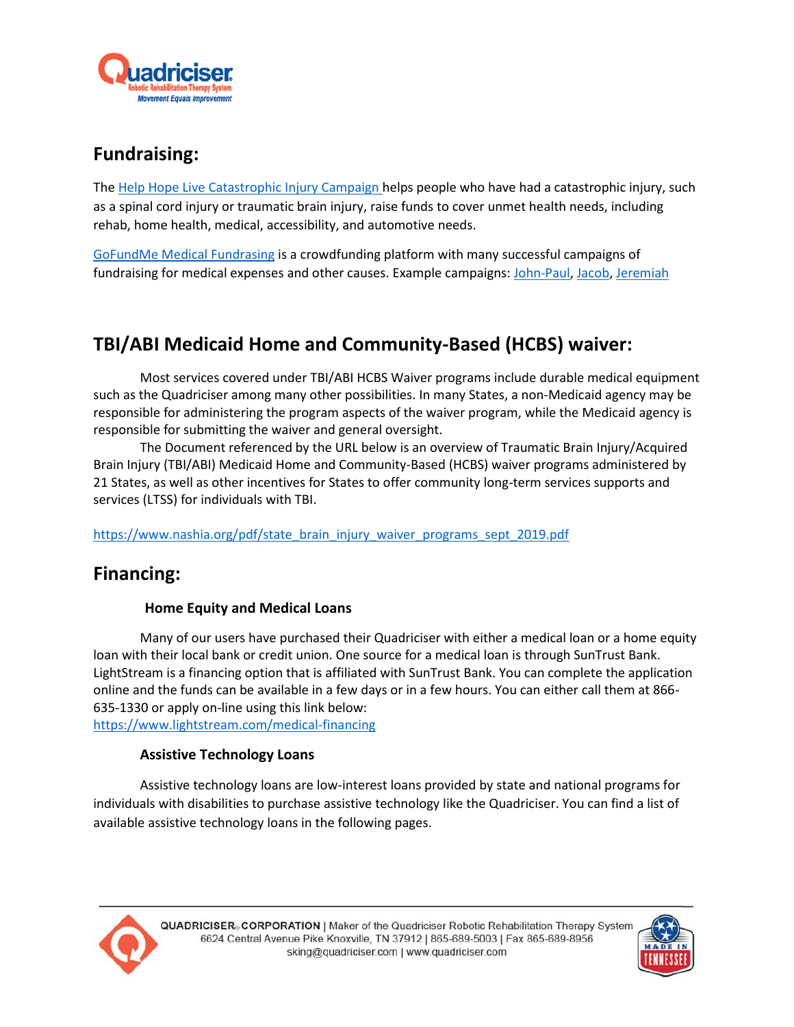

# **Fundraising:**

The [Help Hope Live Catastrophic Injury Campaign h](https://helphopelive.org/injury-fundraising)elps people who have had a catastrophic injury, such as a spinal cord injury or traumatic brain injury, raise funds to cover unmet health needs, including rehab, home health, medical, accessibility, and automotive needs.

[GoFundMe Medical Fundrasing](https://www.gofundme.com/medical-fundraising) is a crowdfunding platform with many successful campaigns of fundraising for medical expenses and other causes. Example campaigns: [John-Paul,](https://www.gofundme.com/f/1pxs8s) [Jacob,](https://www.gofundme.com/f/heqc8-jacobs-journey) [Jeremiah](https://www.gofundme.com/f/39tyk94)

# **TBI/ABI Medicaid Home and Community-Based (HCBS) waiver:**

 Most services covered under TBI/ABI HCBS Waiver programs include durable medical equipment such as the Quadriciser among many other possibilities. In many States, a non-Medicaid agency may be responsible for administering the program aspects of the waiver program, while the Medicaid agency is responsible for submitting the waiver and general oversight.

 The Document referenced by the URL below is an overview of Traumatic Brain Injury/Acquired Brain Injury (TBI/ABI) Medicaid Home and Community-Based (HCBS) waiver programs administered by 21 States, as well as other incentives for States to offer community long-term services supports and services (LTSS) for individuals with TBI.

[https://www.nashia.org/pdf/state\\_brain\\_injury\\_waiver\\_programs\\_sept\\_2019.pdf](https://www.nashia.org/pdf/state_brain_injury_waiver_programs_sept_2019.pdf)

# **Financing:**

# **Home Equity and Medical Loans**

Many of our users have purchased their Quadriciser with either a medical loan or a home equity loan with their local bank or credit union. One source for a medical loan is through SunTrust Bank. LightStream is a financing option that is affiliated with SunTrust Bank. You can complete the application online and the funds can be available in a few days or in a few hours. You can either call them at 866- 635-1330 or apply on-line using this link below: <https://www.lightstream.com/medical-financing>

# **Assistive Technology Loans**

Assistive technology loans are low-interest loans provided by state and national programs for individuals with disabilities to purchase assistive technology like the Quadriciser. You can find a list of available assistive technology loans in the following pages.



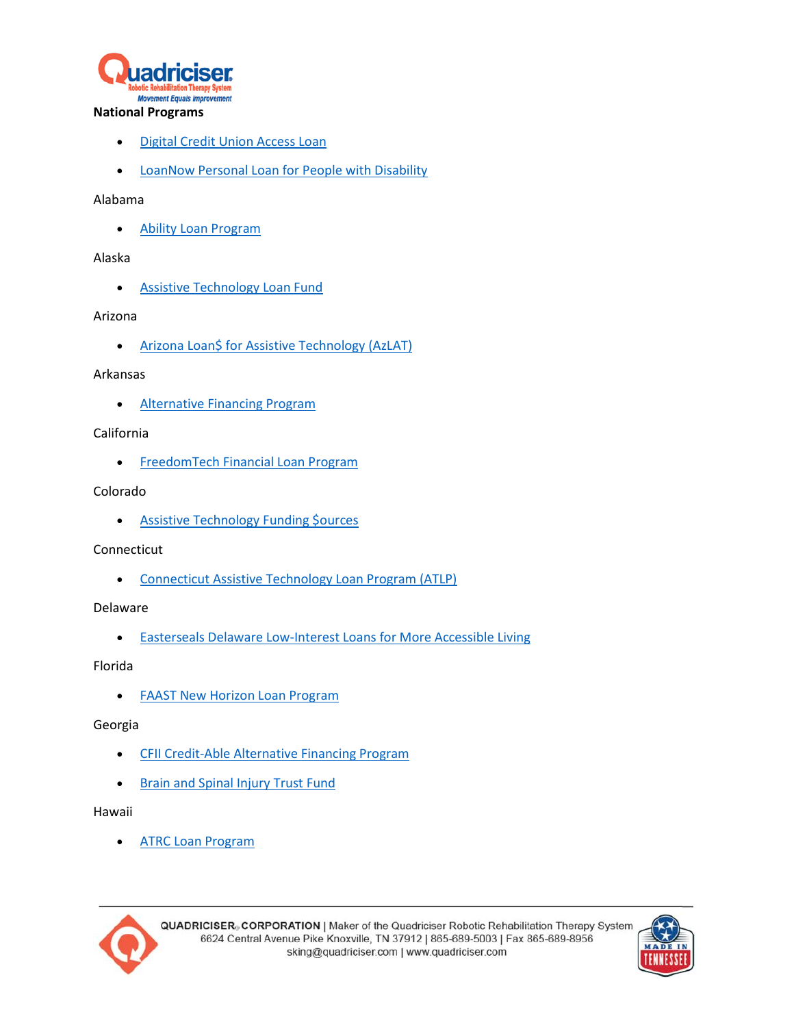

#### **National Programs**

- **.** [Digital Credit Union Access Loan](https://www.dcu.org/loans/access.html)
- **.** [LoanNow Personal Loan for People with Disability](https://www.loannow.com/personal-loans/disability/)

## Alabama

[Ability Loan Program](http://www.sdfalabama.com/abilityloanprogram.html)

## Alaska

**• [Assistive Technology Loan Fund](http://labor.alaska.gov/dvr/at-loan.htm)** 

### Arizona

**• [Arizona Loan\\$ for Assistive Technology \(AzLAT\)](http://aztap.org/at-funding/azlat/)** 

### Arkansas

• [Alternative Financing Program](http://ar-ican.org/)

# California

**•** [FreedomTech Financial Loan Program](http://freedomtech.org/)

# Colorado

**• [Assistive Technology Funding \\$ources](http://www.at-partners.org/ATFunding/)** 

# Connecticut

[Connecticut Assistive Technology Loan Program \(ATLP\)](http://cttechact.com/loan/#sthash.fJKlHz1N.dpbs)

# Delaware

[Easterseals Delaware Low-Interest Loans for More Accessible Living](http://www.easterseals.com/de/explore-resources/making-life-accessible/)

# Florida

**• [FAAST New Horizon Loan Program](http://www.faast.org/about/new-horizon-loan-program)** 

# Georgia

- **[CFII Credit-Able Alternative Financing Program](https://cfiiga.org/)**
- [Brain and Spinal Injury Trust Fund](http://www.ciclt.net/sn/clt/bsitf/default.aspx?ClientCode=bsitf)

#### Hawaii

[ATRC Loan Program](http://www.atrc.org/who-pays-for-my-at/)



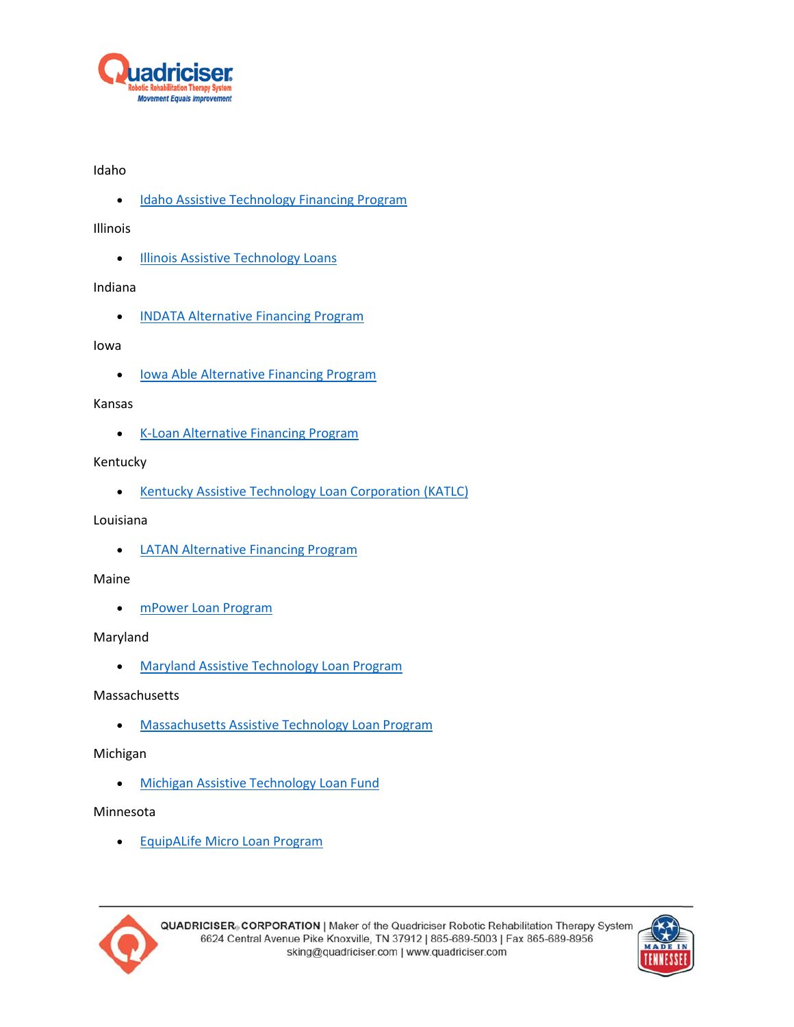

# Idaho

**.** [Idaho Assistive Technology Financing Program](http://idahoat.org/services/finance)

Illinois

**[Illinois Assistive Technology Loans](http://www.iltech.org/cashloan.html)** 

# Indiana

**• [INDATA Alternative Financing Program](http://www.eastersealstech.com/sample-page/assistive-technology-funding/)** 

# Iowa

**.** lowa Able Alternative Financing Program

### Kansas

• [K-Loan Alternative Financing Program](http://k-loan.net/)

# Kentucky

**[Kentucky Assistive Technology Loan Corporation \(KATLC\)](http://katlc.ky.gov/Pages/default.aspx)** 

## Louisiana

**.** [LATAN Alternative Financing Program](https://www.latan.org/index.php/programs-services/financial-loans.html)

#### Maine

[mPower Loan Program](http://mpowerloans.org/)

# Maryland

[Maryland Assistive Technology Loan Program](http://mdod.maryland.gov/mdtap/Pages/AT-Financial-Loan-Program.aspx)

# Massachusetts

[Massachusetts Assistive Technology Loan Program](http://www.massatloan.org/)

# Michigan

**• [Michigan Assistive Technology Loan Fund](http://ucpmichigan.org/at/loan-funds/michigan-assistive-technology-loan-fund/)** 

# Minnesota

**•** [EquipALife Micro Loan Program](http://www.equipalife.org/programs/microloan.html)



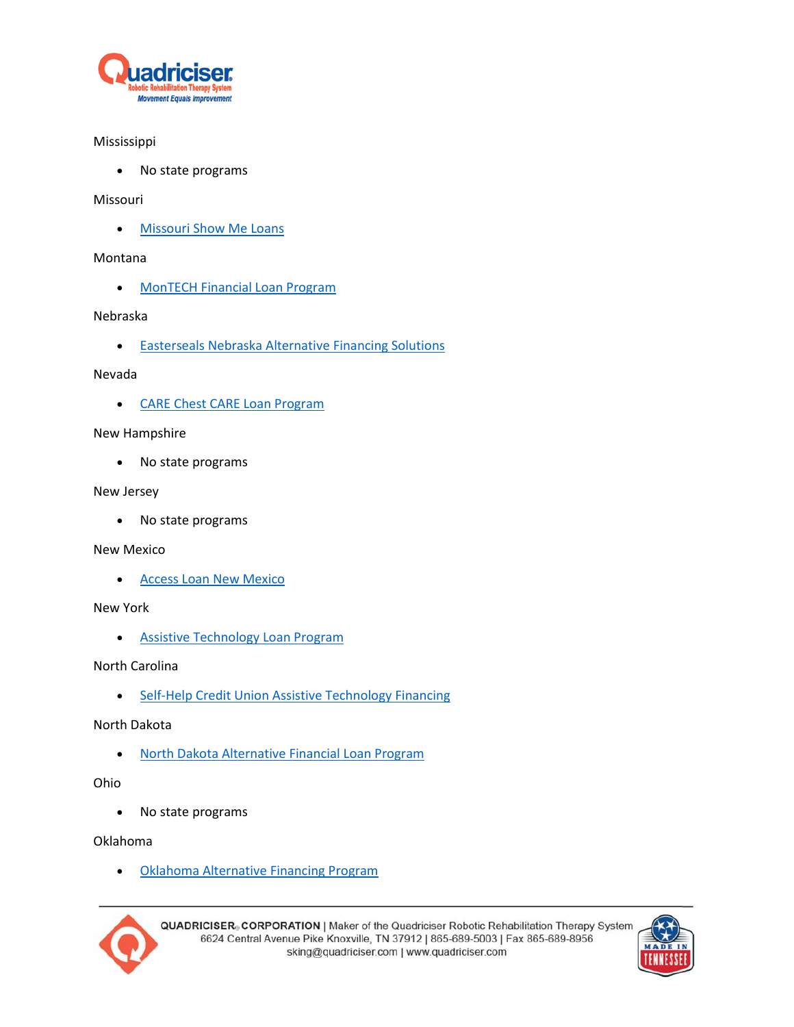

# Mississippi

• No state programs

### Missouri

[Missouri Show Me Loans](http://at.mo.gov/show-me-loans/)

### Montana

[MonTECH Financial Loan Program](http://montech.ruralinstitute.umt.edu/financial-assistance/)

### Nebraska

**•** [Easterseals Nebraska Alternative Financing Solutions](http://www.easterseals.com/ne/our-programs/alternative-financing/)

### Nevada

[CARE Chest CARE Loan Program](http://carechest.org/site/programs-2/)

### New Hampshire

No state programs

### New Jersey

• No state programs

#### New Mexico

[Access Loan New Mexico](http://www.tap.gcd.state.nm.us/financial-assistance/access-loan-new-mexico/)

# New York

[Assistive Technology Loan Program](http://www.realeconomicimpact.org/asset-development/assistive-technology-loan-program)

# North Carolina

• [Self-Help Credit Union Assistive Technology Financing](https://www.self-help.org/personal/loans/other-loans/assistive-technology-loans)

# North Dakota

[North Dakota Alternative Financial Loan Program](http://ndipat.org/services/assistive-technology-financial-loan)

# Ohio

No state programs

#### Oklahoma

[Oklahoma Alternative Financing Program](https://www.ok.gov/abletech/Device_Bank_Loans/AFP_Fact_Sheet.html)



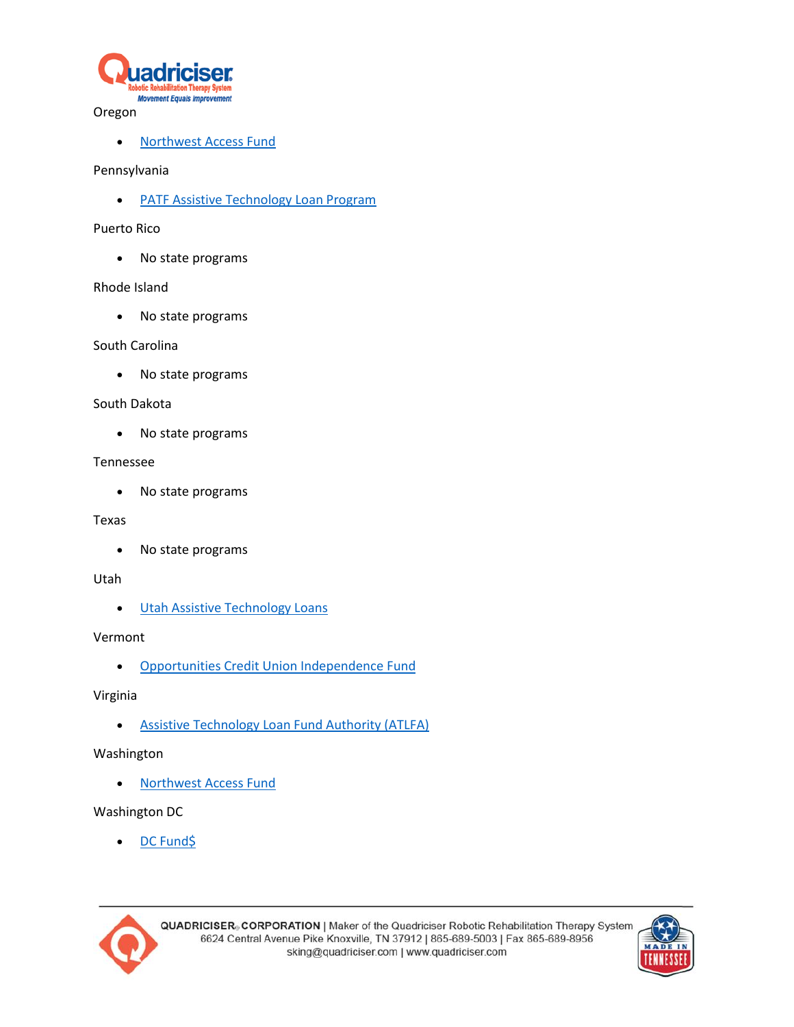

#### Oregon

• [Northwest Access Fund](http://washingtonaccessfund.org/assistive-technology-loans/)

## Pennsylvania

**• [PATF Assistive Technology Loan Program](http://patf.us/what-we-do/financial-loans/)** 

## Puerto Rico

• No state programs

# Rhode Island

• No state programs

### South Carolina

• No state programs

### South Dakota

• No state programs

### Tennessee

• No state programs

## Texas

• No state programs

#### Utah

**.** [Utah Assistive Technology Loans](http://www.uatf.org/financing/)

# Vermont

[Opportunities Credit Union Independence Fund](https://www.oppsvt.org/independence-fund/)

# Virginia

[Assistive Technology Loan Fund Authority \(ATLFA\)](http://atlfa.org/)

# Washington

[Northwest Access Fund](http://washingtonaccessfund.org/assistive-technology-loans/)

# Washington DC

[DC Fund\\$](http://www.atpdc.org/atfinancingloandc.php)